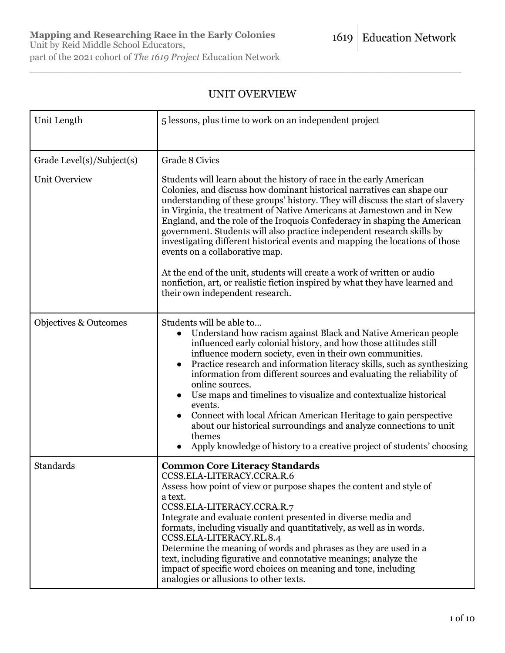# UNIT OVERVIEW

 $\_$  , and the set of the set of the set of the set of the set of the set of the set of the set of the set of the set of the set of the set of the set of the set of the set of the set of the set of the set of the set of th

| Unit Length                      | 5 lessons, plus time to work on an independent project                                                                                                                                                                                                                                                                                                                                                                                                                                                                                                                                                                                                                                                       |
|----------------------------------|--------------------------------------------------------------------------------------------------------------------------------------------------------------------------------------------------------------------------------------------------------------------------------------------------------------------------------------------------------------------------------------------------------------------------------------------------------------------------------------------------------------------------------------------------------------------------------------------------------------------------------------------------------------------------------------------------------------|
| Grade Level(s)/Subject(s)        | Grade 8 Civics                                                                                                                                                                                                                                                                                                                                                                                                                                                                                                                                                                                                                                                                                               |
| <b>Unit Overview</b>             | Students will learn about the history of race in the early American<br>Colonies, and discuss how dominant historical narratives can shape our<br>understanding of these groups' history. They will discuss the start of slavery<br>in Virginia, the treatment of Native Americans at Jamestown and in New<br>England, and the role of the Iroquois Confederacy in shaping the American<br>government. Students will also practice independent research skills by<br>investigating different historical events and mapping the locations of those<br>events on a collaborative map.<br>At the end of the unit, students will create a work of written or audio                                                |
|                                  | nonfiction, art, or realistic fiction inspired by what they have learned and<br>their own independent research.                                                                                                                                                                                                                                                                                                                                                                                                                                                                                                                                                                                              |
| <b>Objectives &amp; Outcomes</b> | Students will be able to<br>Understand how racism against Black and Native American people<br>influenced early colonial history, and how those attitudes still<br>influence modern society, even in their own communities.<br>Practice research and information literacy skills, such as synthesizing<br>information from different sources and evaluating the reliability of<br>online sources.<br>Use maps and timelines to visualize and contextualize historical<br>events.<br>Connect with local African American Heritage to gain perspective<br>about our historical surroundings and analyze connections to unit<br>themes<br>Apply knowledge of history to a creative project of students' choosing |
| Standards                        | <b>Common Core Literacy Standards</b><br>CCSS.ELA-LITERACY.CCRA.R.6<br>Assess how point of view or purpose shapes the content and style of<br>a text.<br>CCSS.ELA-LITERACY.CCRA.R.7<br>Integrate and evaluate content presented in diverse media and<br>formats, including visually and quantitatively, as well as in words.<br>CCSS.ELA-LITERACY.RL.8.4<br>Determine the meaning of words and phrases as they are used in a<br>text, including figurative and connotative meanings; analyze the<br>impact of specific word choices on meaning and tone, including<br>analogies or allusions to other texts.                                                                                                 |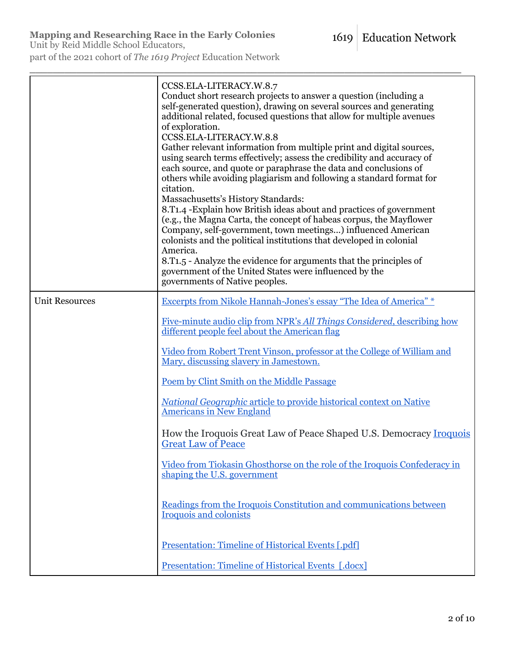Unit by Reid Middle School Educators,

part of the 2021 cohort of *The 1619 Project* Education Network

|                       | CCSS.ELA-LITERACY.W.8.7<br>Conduct short research projects to answer a question (including a<br>self-generated question), drawing on several sources and generating<br>additional related, focused questions that allow for multiple avenues<br>of exploration.<br>CCSS.ELA-LITERACY.W.8.8<br>Gather relevant information from multiple print and digital sources,<br>using search terms effectively; assess the credibility and accuracy of<br>each source, and quote or paraphrase the data and conclusions of<br>others while avoiding plagiarism and following a standard format for<br>citation.<br>Massachusetts's History Standards:<br>8.T <sub>1</sub> .4 - Explain how British ideas about and practices of government<br>(e.g., the Magna Carta, the concept of habeas corpus, the Mayflower<br>Company, self-government, town meetings) influenced American<br>colonists and the political institutions that developed in colonial<br>America.<br>8.T <sub>1.5</sub> - Analyze the evidence for arguments that the principles of<br>government of the United States were influenced by the<br>governments of Native peoples. |
|-----------------------|------------------------------------------------------------------------------------------------------------------------------------------------------------------------------------------------------------------------------------------------------------------------------------------------------------------------------------------------------------------------------------------------------------------------------------------------------------------------------------------------------------------------------------------------------------------------------------------------------------------------------------------------------------------------------------------------------------------------------------------------------------------------------------------------------------------------------------------------------------------------------------------------------------------------------------------------------------------------------------------------------------------------------------------------------------------------------------------------------------------------------------------|
| <b>Unit Resources</b> | Excerpts from Nikole Hannah-Jones's essay "The Idea of America" *                                                                                                                                                                                                                                                                                                                                                                                                                                                                                                                                                                                                                                                                                                                                                                                                                                                                                                                                                                                                                                                                        |
|                       | Five-minute audio clip from NPR's All Things Considered, describing how<br>different people feel about the American flag                                                                                                                                                                                                                                                                                                                                                                                                                                                                                                                                                                                                                                                                                                                                                                                                                                                                                                                                                                                                                 |
|                       | <u>Video from Robert Trent Vinson, professor at the College of William and</u><br>Mary, discussing slavery in Jamestown.                                                                                                                                                                                                                                                                                                                                                                                                                                                                                                                                                                                                                                                                                                                                                                                                                                                                                                                                                                                                                 |
|                       | Poem by Clint Smith on the Middle Passage                                                                                                                                                                                                                                                                                                                                                                                                                                                                                                                                                                                                                                                                                                                                                                                                                                                                                                                                                                                                                                                                                                |
|                       | <b>National Geographic article to provide historical context on Native</b><br><b>Americans in New England</b>                                                                                                                                                                                                                                                                                                                                                                                                                                                                                                                                                                                                                                                                                                                                                                                                                                                                                                                                                                                                                            |
|                       | How the Iroquois Great Law of Peace Shaped U.S. Democracy Iroquois<br><b>Great Law of Peace</b>                                                                                                                                                                                                                                                                                                                                                                                                                                                                                                                                                                                                                                                                                                                                                                                                                                                                                                                                                                                                                                          |
|                       | Video from Tiokasin Ghosthorse on the role of the Iroquois Confederacy in<br>shaping the U.S. government                                                                                                                                                                                                                                                                                                                                                                                                                                                                                                                                                                                                                                                                                                                                                                                                                                                                                                                                                                                                                                 |
|                       | Readings from the Iroquois Constitution and communications between<br>Iroquois and colonists                                                                                                                                                                                                                                                                                                                                                                                                                                                                                                                                                                                                                                                                                                                                                                                                                                                                                                                                                                                                                                             |
|                       | <b>Presentation: Timeline of Historical Events [.pdf]</b>                                                                                                                                                                                                                                                                                                                                                                                                                                                                                                                                                                                                                                                                                                                                                                                                                                                                                                                                                                                                                                                                                |
|                       | <b>Presentation: Timeline of Historical Events [.docx]</b>                                                                                                                                                                                                                                                                                                                                                                                                                                                                                                                                                                                                                                                                                                                                                                                                                                                                                                                                                                                                                                                                               |

 $\_$  , and the set of the set of the set of the set of the set of the set of the set of the set of the set of the set of the set of the set of the set of the set of the set of the set of the set of the set of the set of th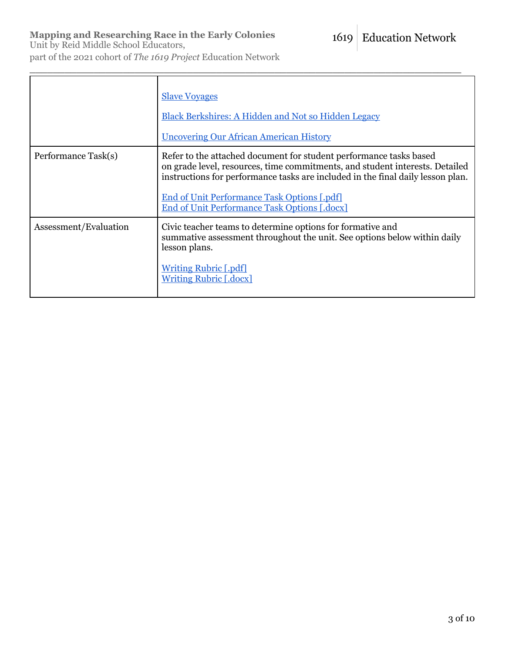Unit by Reid Middle School Educators, part of the 2021 cohort of *The 1619 Project* Education Network

|                       | <b>Slave Voyages</b><br>Black Berkshires: A Hidden and Not so Hidden Legacy<br><b>Uncovering Our African American History</b>                                                                                                                                                                                                        |
|-----------------------|--------------------------------------------------------------------------------------------------------------------------------------------------------------------------------------------------------------------------------------------------------------------------------------------------------------------------------------|
| Performance Task(s)   | Refer to the attached document for student performance tasks based<br>on grade level, resources, time commitments, and student interests. Detailed<br>instructions for performance tasks are included in the final daily lesson plan.<br>End of Unit Performance Task Options [.pdf]<br>End of Unit Performance Task Options [.docx] |
| Assessment/Evaluation | Civic teacher teams to determine options for formative and<br>summative assessment throughout the unit. See options below within daily<br>lesson plans.<br><b>Writing Rubric [.pdf]</b><br><b>Writing Rubric [.docx]</b>                                                                                                             |

 $\_$  , and the set of the set of the set of the set of the set of the set of the set of the set of the set of the set of the set of the set of the set of the set of the set of the set of the set of the set of the set of th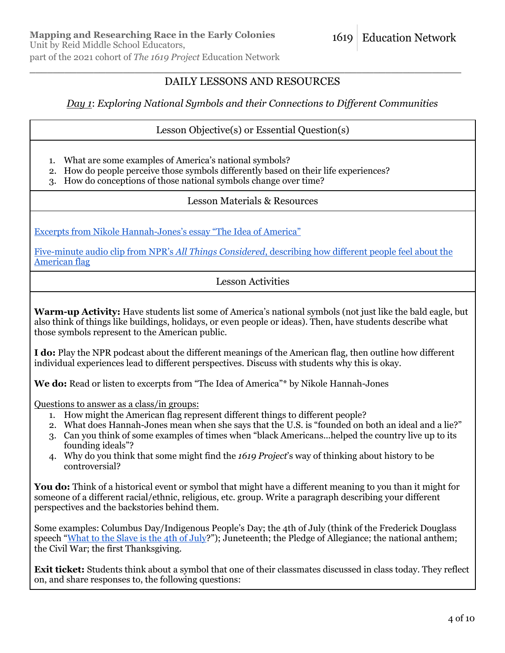## DAILY LESSONS AND RESOURCES

 $\_$  , and the set of the set of the set of the set of the set of the set of the set of the set of the set of the set of the set of the set of the set of the set of the set of the set of the set of the set of the set of th

### *Day 1*: *Exploring National Symbols and their Connections to Different Communities*

#### Lesson Objective(s) or Essential Question(s)

- 1. What are some examples of America's national symbols?
- 2. How do people perceive those symbols differently based on their life experiences?
- 3. How do conceptions of those national symbols change over time?

#### Lesson Materials & Resources

Excerpts from Nikole Hannah-Jones's essay "The Idea of America"

Five-minute audio clip from NPR's *All Things Considered*, describing how different people feel about the American flag

### Lesson Activities

**Warm-up Activity:** Have students list some of America's national symbols (not just like the bald eagle, but also think of things like buildings, holidays, or even people or ideas). Then, have students describe what those symbols represent to the American public.

**I do:** Play the NPR podcast about the different meanings of the American flag, then outline how different individual experiences lead to different perspectives. Discuss with students why this is okay.

**We do:** Read or listen to excerpts from "The Idea of America"\* by Nikole Hannah-Jones

Questions to answer as a class/in groups:

- 1. How might the American flag represent different things to different people?
- 2. What does Hannah-Jones mean when she says that the U.S. is "founded on both an ideal and a lie?"
- 3. Can you think of some examples of times when "black Americans...helped the country live up to its founding ideals"?
- 4. Why do you think that some might find the *1619 Project*'s way of thinking about history to be controversial?

**You do:** Think of a historical event or symbol that might have a different meaning to you than it might for someone of a different racial/ethnic, religious, etc. group. Write a paragraph describing your different perspectives and the backstories behind them.

Some examples: Columbus Day/Indigenous People's Day; the 4th of July (think of the Frederick Douglass speech "What to the Slave is the 4th of July?"); Juneteenth; the Pledge of Allegiance; the national anthem; the Civil War; the first Thanksgiving.

**Exit ticket:** Students think about a symbol that one of their classmates discussed in class today. They reflect on, and share responses to, the following questions: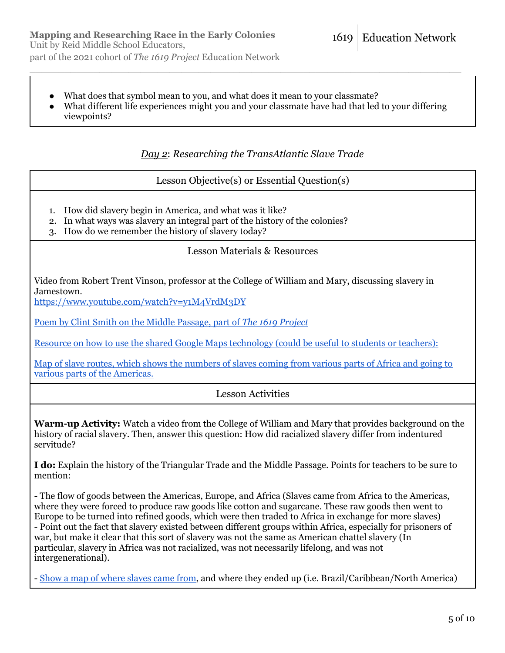- What does that symbol mean to you, and what does it mean to your classmate?
- What different life experiences might you and your classmate have had that led to your differing viewpoints?

 $\_$  , and the set of the set of the set of the set of the set of the set of the set of the set of the set of the set of the set of the set of the set of the set of the set of the set of the set of the set of the set of th

*Day 2*: *Researching the TransAtlantic Slave Trade*

Lesson Objective(s) or Essential Question(s)

- 1. How did slavery begin in America, and what was it like?
- 2. In what ways was slavery an integral part of the history of the colonies?
- 3. How do we remember the history of slavery today?

#### Lesson Materials & Resources

Video from Robert Trent Vinson, professor at the College of William and Mary, discussing slavery in Jamestown.

https://www.youtube.com/watch?v=y1M4VrdM3DY

Poem by Clint Smith on the Middle Passage, part of *The 1619 Project*

Resource on how to use the shared Google Maps technology (could be useful to students or teachers):

Map of slave routes, which shows the numbers of slaves coming from various parts of Africa and going to various parts of the Americas.

### Lesson Activities

**Warm-up Activity:** Watch a video from the College of William and Mary that provides background on the history of racial slavery. Then, answer this question: How did racialized slavery differ from indentured servitude?

**I do:** Explain the history of the Triangular Trade and the Middle Passage. Points for teachers to be sure to mention:

- The flow of goods between the Americas, Europe, and Africa (Slaves came from Africa to the Americas, where they were forced to produce raw goods like cotton and sugarcane. These raw goods then went to Europe to be turned into refined goods, which were then traded to Africa in exchange for more slaves) - Point out the fact that slavery existed between different groups within Africa, especially for prisoners of war, but make it clear that this sort of slavery was not the same as American chattel slavery (In particular, slavery in Africa was not racialized, was not necessarily lifelong, and was not intergenerational).

- Show a map of where slaves came from, and where they ended up (i.e. Brazil/Caribbean/North America)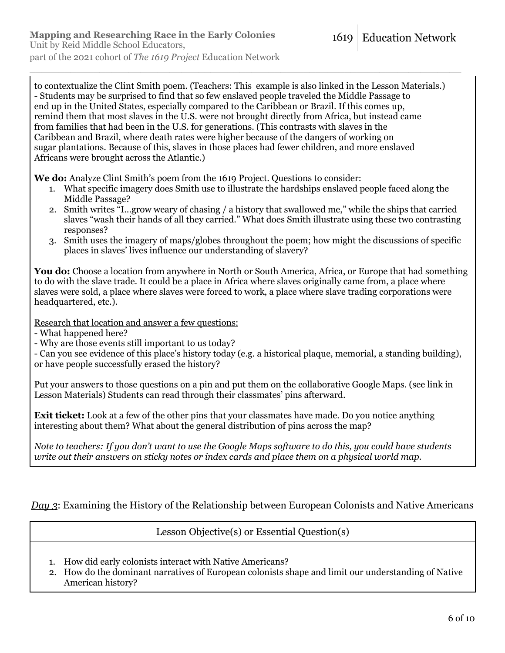to contextualize the Clint Smith poem. (Teachers: This example is also linked in the Lesson Materials.) - Students may be surprised to find that so few enslaved people traveled the Middle Passage to end up in the United States, especially compared to the Caribbean or Brazil. If this comes up, remind them that most slaves in the U.S. were not brought directly from Africa, but instead came from families that had been in the U.S. for generations. (This contrasts with slaves in the Caribbean and Brazil, where death rates were higher because of the dangers of working on sugar plantations. Because of this, slaves in those places had fewer children, and more enslaved Africans were brought across the Atlantic.)

 $\_$  , and the set of the set of the set of the set of the set of the set of the set of the set of the set of the set of the set of the set of the set of the set of the set of the set of the set of the set of the set of th

**We do:** Analyze Clint Smith's poem from the 1619 Project. Questions to consider:

- 1. What specific imagery does Smith use to illustrate the hardships enslaved people faced along the Middle Passage?
- 2. Smith writes "I...grow weary of chasing / a history that swallowed me," while the ships that carried slaves "wash their hands of all they carried." What does Smith illustrate using these two contrasting responses?
- 3. Smith uses the imagery of maps/globes throughout the poem; how might the discussions of specific places in slaves' lives influence our understanding of slavery?

**You do:** Choose a location from anywhere in North or South America, Africa, or Europe that had something to do with the slave trade. It could be a place in Africa where slaves originally came from, a place where slaves were sold, a place where slaves were forced to work, a place where slave trading corporations were headquartered, etc.).

Research that location and answer a few questions:

- What happened here?

- Why are those events still important to us today?

- Can you see evidence of this place's history today (e.g. a historical plaque, memorial, a standing building), or have people successfully erased the history?

Put your answers to those questions on a pin and put them on the collaborative Google Maps. (see link in Lesson Materials) Students can read through their classmates' pins afterward.

**Exit ticket:** Look at a few of the other pins that your classmates have made. Do you notice anything interesting about them? What about the general distribution of pins across the map?

*Note to teachers: If you don't want to use the Google Maps software to do this, you could have students write out their answers on sticky notes or index cards and place them on a physical world map.*

*Day 3*: Examining the History of the Relationship between European Colonists and Native Americans

Lesson Objective(s) or Essential Question(s)

- 1. How did early colonists interact with Native Americans?
- 2. How do the dominant narratives of European colonists shape and limit our understanding of Native American history?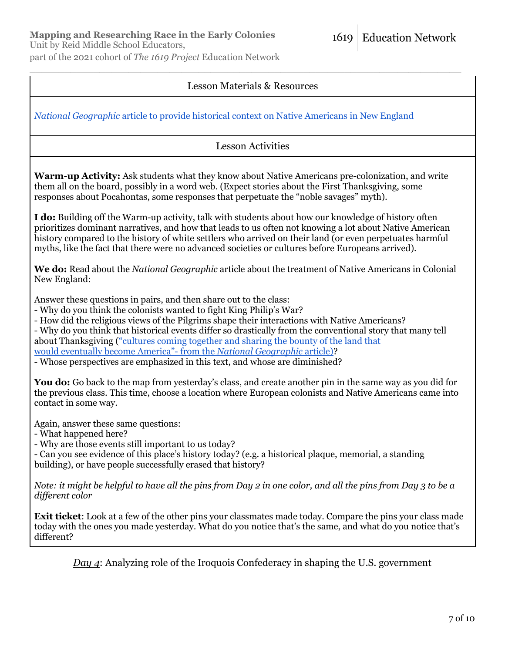Unit by Reid Middle School Educators,

part of the 2021 cohort of *The 1619 Project* Education Network

# Lesson Materials & Resources

**Education Network** 

1619

 $\_$  , and the set of the set of the set of the set of the set of the set of the set of the set of the set of the set of the set of the set of the set of the set of the set of the set of the set of the set of the set of th

*National Geographic* article to provide historical context on Native Americans in New England

Lesson Activities

**Warm-up Activity:** Ask students what they know about Native Americans pre-colonization, and write them all on the board, possibly in a word web. (Expect stories about the First Thanksgiving, some responses about Pocahontas, some responses that perpetuate the "noble savages" myth).

**I do:** Building off the Warm-up activity, talk with students about how our knowledge of history often prioritizes dominant narratives, and how that leads to us often not knowing a lot about Native American history compared to the history of white settlers who arrived on their land (or even perpetuates harmful myths, like the fact that there were no advanced societies or cultures before Europeans arrived).

**We do:** Read about the *National Geographic* article about the treatment of Native Americans in Colonial New England:

Answer these questions in pairs, and then share out to the class:

- Why do you think the colonists wanted to fight King Philip's War?

- How did the religious views of the Pilgrims shape their interactions with Native Americans?

- Why do you think that historical events differ so drastically from the conventional story that many tell about Thanksgiving ("cultures coming together and sharing the bounty of the land that would eventually become America"- from the *National Geographic* article)?

- Whose perspectives are emphasized in this text, and whose are diminished?

**You do:** Go back to the map from yesterday's class, and create another pin in the same way as you did for the previous class. This time, choose a location where European colonists and Native Americans came into contact in some way.

Again, answer these same questions:

- What happened here?

- Why are those events still important to us today?

- Can you see evidence of this place's history today? (e.g. a historical plaque, memorial, a standing building), or have people successfully erased that history?

*Note: it might be helpful to have all the pins from Day 2 in one color, and all the pins from Day 3 to be a different color*

**Exit ticket**: Look at a few of the other pins your classmates made today. Compare the pins your class made today with the ones you made yesterday. What do you notice that's the same, and what do you notice that's different?

*Day 4*: Analyzing role of the Iroquois Confederacy in shaping the U.S. government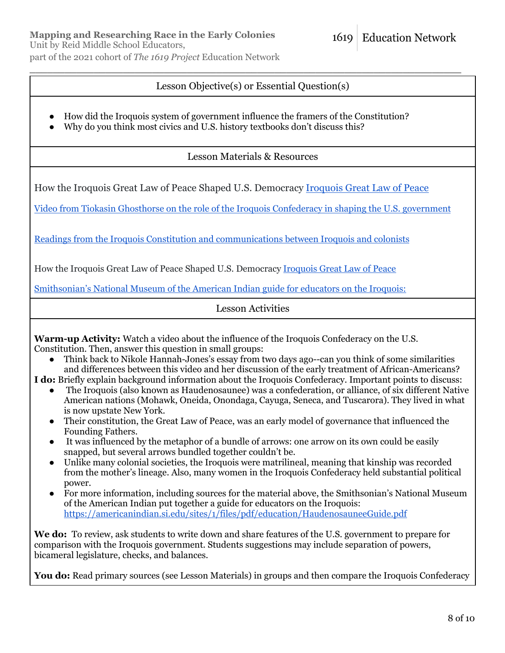Unit by Reid Middle School Educators,

part of the 2021 cohort of *The 1619 Project* Education Network

# Lesson Objective(s) or Essential Question(s)

 $\_$  , and the set of the set of the set of the set of the set of the set of the set of the set of the set of the set of the set of the set of the set of the set of the set of the set of the set of the set of the set of th

- How did the Iroquois system of government influence the framers of the Constitution?
- Why do you think most civics and U.S. history textbooks don't discuss this?

Lesson Materials & Resources

How the Iroquois Great Law of Peace Shaped U.S. Democracy Iroquois Great Law of Peace

Video from Tiokasin Ghosthorse on the role of the Iroquois Confederacy in shaping the U.S. government

Readings from the Iroquois Constitution and communications between Iroquois and colonists

How the Iroquois Great Law of Peace Shaped U.S. Democracy Iroquois Great Law of Peace

Smithsonian's National Museum of the American Indian guide for educators on the Iroquois:

Lesson Activities

**Warm-up Activity:** Watch a video about the influence of the Iroquois Confederacy on the U.S. Constitution. Then, answer this question in small groups:

• Think back to Nikole Hannah-Jones's essay from two days ago--can you think of some similarities and differences between this video and her discussion of the early treatment of African-Americans?

**I do:** Briefly explain background information about the Iroquois Confederacy. Important points to discuss:

- The Iroquois (also known as Haudenosaunee) was a confederation, or alliance, of six different Native American nations (Mohawk, Oneida, Onondaga, Cayuga, Seneca, and Tuscarora). They lived in what is now upstate New York.
- Their constitution, the Great Law of Peace, was an early model of governance that influenced the Founding Fathers.
- It was influenced by the metaphor of a bundle of arrows: one arrow on its own could be easily snapped, but several arrows bundled together couldn't be.
- Unlike many colonial societies, the Iroquois were matrilineal, meaning that kinship was recorded from the mother's lineage. Also, many women in the Iroquois Confederacy held substantial political power.
- For more information, including sources for the material above, the Smithsonian's National Museum of the American Indian put together a guide for educators on the Iroquois: https://americanindian.si.edu/sites/1/files/pdf/education/HaudenosauneeGuide.pdf

We do: To review, ask students to write down and share features of the U.S. government to prepare for comparison with the Iroquois government. Students suggestions may include separation of powers, bicameral legislature, checks, and balances.

You do: Read primary sources (see Lesson Materials) in groups and then compare the Iroquois Confederacy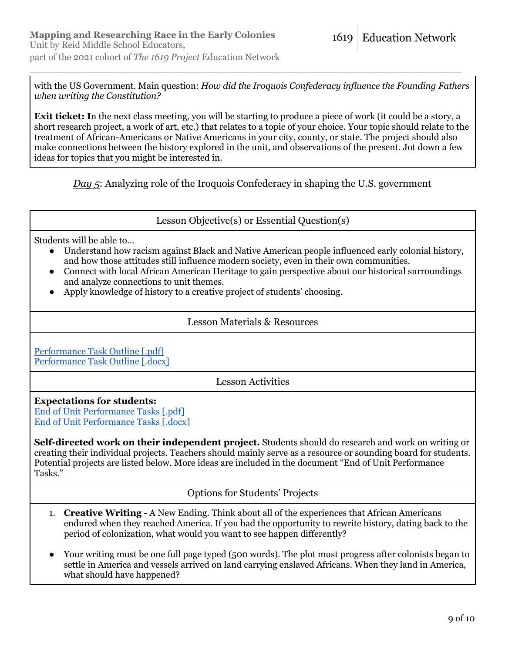with the US Government. Main question: *How did the Iroquois Confederacy influence the Founding Fathers when writing the Constitution?*

 $\_$  , and the set of the set of the set of the set of the set of the set of the set of the set of the set of the set of the set of the set of the set of the set of the set of the set of the set of the set of the set of th

**Exit ticket:** In the next class meeting, you will be starting to produce a piece of work (it could be a story, a short research project, a work of art, etc.) that relates to a topic of your choice. Your topic should relate to the treatment of African-Americans or Native Americans in your city, county, or state. The project should also make connections between the history explored in the unit, and observations of the present. Jot down a few ideas for topics that you might be interested in.

*Day 5*: Analyzing role of the Iroquois Confederacy in shaping the U.S. government

Lesson Objective(s) or Essential Question(s)

Students will be able to…

- Understand how racism against Black and Native American people influenced early colonial history, and how those attitudes still influence modern society, even in their own communities.
- Connect with local African American Heritage to gain perspective about our historical surroundings and analyze connections to unit themes.
- Apply knowledge of history to a creative project of students' choosing.

### Lesson Materials & Resources

Performance Task Outline [.pdf] Performance Task Outline Ldocx1

Lesson Activities

### **Expectations for students:**

End of Unit Performance Tasks [.pdf] End of Unit Performance Tasks [.docx]

**Self-directed work on their independent project.** Students should do research and work on writing or creating their individual projects. Teachers should mainly serve as a resource or sounding board for students. Potential projects are listed below. More ideas are included in the document "End of Unit Performance Tasks."

Options for Students' Projects

- 1. **Creative Writing** A New Ending. Think about all of the experiences that African Americans endured when they reached America. If you had the opportunity to rewrite history, dating back to the period of colonization, what would you want to see happen differently?
- Your writing must be one full page typed (500 words). The plot must progress after colonists began to settle in America and vessels arrived on land carrying enslaved Africans. When they land in America, what should have happened?